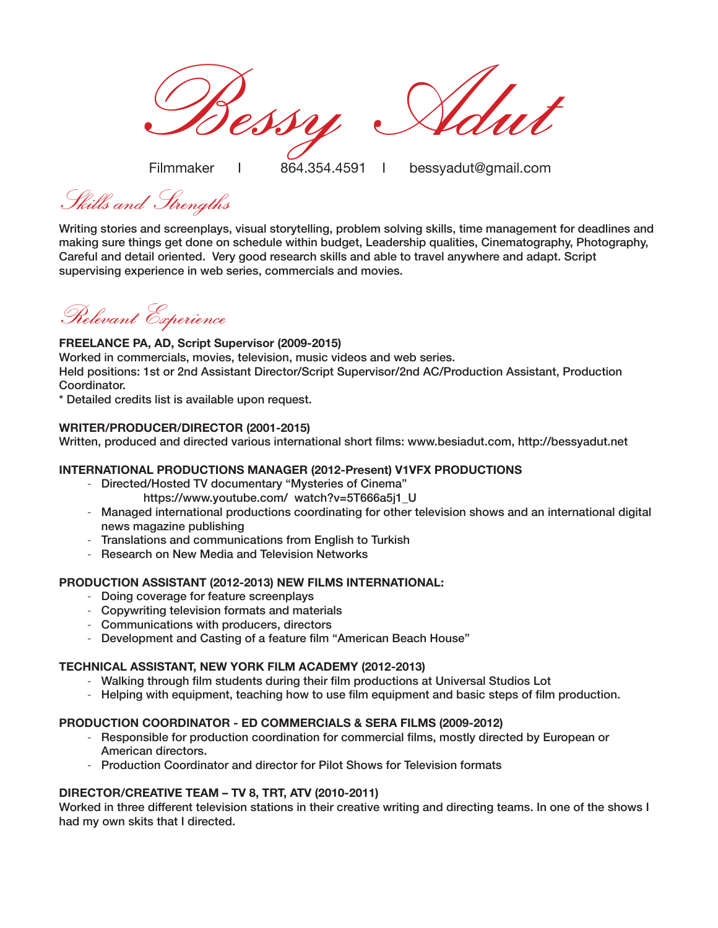Bessy Adut

Filmmaker I 864.354.4591 I bessyadut@gmail.com

Skills and Strengths

Writing stories and screenplays, visual storytelling, problem solving skills, time management for deadlines and making sure things get done on schedule within budget, Leadership qualities, Cinematography, Photography, Careful and detail oriented. Very good research skills and able to travel anywhere and adapt. Script supervising experience in web series, commercials and movies.

Relevant Experience

## **FREELANCE PA, AD, Script Supervisor (2009-2015)**

Worked in commercials, movies, television, music videos and web series. Held positions: 1st or 2nd Assistant Director/Script Supervisor/2nd AC/Production Assistant, Production Coordinator.

\* Detailed credits list is available upon request.

## **WRITER/PRODUCER/DIRECTOR (2001-2015)**

Written, produced and directed various international short films: www.besiadut.com, http://bessyadut.net

# **INTERNATIONAL PRODUCTIONS MANAGER (2012-Present) V1VFX PRODUCTIONS**

- Directed/Hosted TV documentary "Mysteries of Cinema"
	- https://www.youtube.com/ watch?v=5T666a5i1\_U
- Managed international productions coordinating for other television shows and an international digital news magazine publishing
- Translations and communications from English to Turkish
- Research on New Media and Television Networks

## **PRODUCTION ASSISTANT (2012-2013) NEW FILMS INTERNATIONAL:**

- Doing coverage for feature screenplays
- Copywriting television formats and materials
- Communications with producers, directors
- Development and Casting of a feature film "American Beach House"

## **TECHNICAL ASSISTANT, NEW YORK FILM ACADEMY (2012-2013)**

- Walking through film students during their film productions at Universal Studios Lot
- Helping with equipment, teaching how to use film equipment and basic steps of film production.

## **PRODUCTION COORDINATOR - ED COMMERCIALS & SERA FILMS (2009-2012)**

- Responsible for production coordination for commercial films, mostly directed by European or American directors.
- Production Coordinator and director for Pilot Shows for Television formats

## **DIRECTOR/CREATIVE TEAM – TV 8, TRT, ATV (2010-2011)**

Worked in three different television stations in their creative writing and directing teams. In one of the shows I had my own skits that I directed.